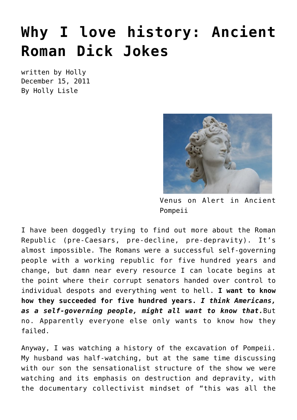## **[Why I love history: Ancient](https://hollylisle.com/why-i-love-history-ancient-roman-dick-jokes/) [Roman Dick Jokes](https://hollylisle.com/why-i-love-history-ancient-roman-dick-jokes/)**

written by Holly December 15, 2011 [By Holly Lisle](https://hollylisle.com)



Venus on Alert in Ancient Pompeii

I have been doggedly trying to find out more about the Roman Republic (pre-Caesars, pre-decline, pre-depravity). It's almost impossible. The Romans were a successful self-governing people with a working republic for five hundred years and change, but damn near every resource I can locate begins at the point where their corrupt senators handed over control to individual despots and everything went to hell. **I want to know how they succeeded for five hundred years.** *I think Americans, as a self-governing people, might all want to know that.*But no. Apparently everyone else only wants to know how they failed.

Anyway, I was watching a history of the excavation of Pompeii. My husband was half-watching, but at the same time discussing with our son the sensationalist structure of the show we were watching and its emphasis on destruction and depravity, with the documentary collectivist mindset of "this was all the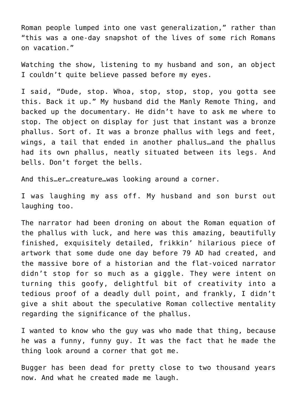Roman people lumped into one vast generalization," rather than "this was a one-day snapshot of the lives of some rich Romans on vacation."

Watching the show, listening to my husband and son, an object I couldn't quite believe passed before my eyes.

I said, "Dude, stop. Whoa, stop, stop, stop, you gotta see this. Back it up." My husband did the Manly Remote Thing, and backed up the documentary. He didn't have to ask me where to stop. The object on display for just that instant was a bronze phallus. Sort of. It was a bronze phallus with legs and feet, wings, a tail that ended in another phallus…and the phallus had its own phallus, neatly situated between its legs. And bells. Don't forget the bells.

And this…er…creature…was looking around a corner.

I was laughing my ass off. My husband and son burst out laughing too.

The narrator had been droning on about the Roman equation of the phallus with luck, and here was this amazing, beautifully finished, exquisitely detailed, frikkin' hilarious piece of artwork that some dude one day before 79 AD had created, and the massive bore of a historian and the flat-voiced narrator didn't stop for so much as a giggle. They were intent on turning this goofy, delightful bit of creativity into a tedious proof of a deadly dull point, and frankly, I didn't give a shit about the speculative Roman collective mentality regarding the significance of the phallus.

I wanted to know who the guy was who made that thing, because he was a funny, funny guy. It was the fact that he made the thing look around a corner that got me.

Bugger has been dead for pretty close to two thousand years now. And what he created made me laugh.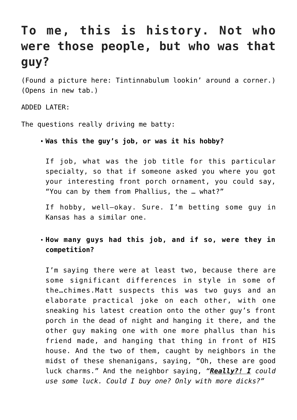## **To me, this is history. Not who were those people, but who was that guy?**

(Found a picture here: [Tintinnabulum lookin' around a corner.\)](http://upload.wikimedia.org/wikipedia/commons/c/c4/Tintinnabulum_in_bronzo_a_forma_di_fallo-chimera,_da_ercolano,_I_sec._dc.,_27837.JPG) (Opens in new tab.)

ADDED LATER:

The questions really driving me batty:

**Was this the guy's job, or was it his hobby?**

If job, what was the job title for this particular specialty, so that if someone asked you where you got your interesting front porch ornament, you could say, "You can by them from Phallius, the … what?"

If hobby, well—okay. Sure. I'm betting some guy in Kansas has a similar one.

**How many guys had this job, and if so, were they in competition?**

I'm saying there were at least two, because there are some significant differences in style in some of the…chimes.Matt suspects this was two guys and an elaborate practical joke on each other, with one sneaking his latest creation onto the other guy's front porch in the dead of night and hanging it there, and the other guy making one with one more phallus than his friend made, and hanging that thing in front of HIS house. And the two of them, caught by neighbors in the midst of these shenanigans, saying, "Oh, these are good luck charms." And the neighbor saying, *"Really?! I could use some luck. Could I buy one? Only with more dicks?"*